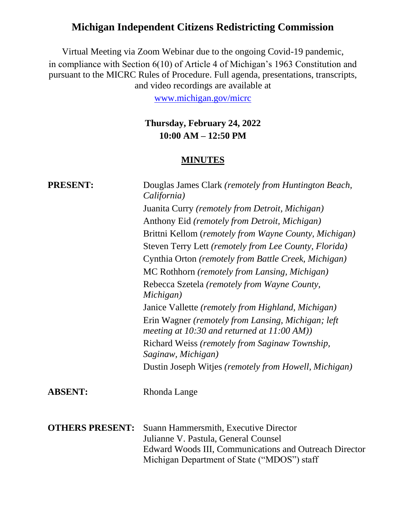# **Michigan Independent Citizens Redistricting Commission**

Virtual Meeting via Zoom Webinar due to the ongoing Covid-19 pandemic, in compliance with Section 6(10) of Article 4 of Michigan's 1963 Constitution and pursuant to the MICRC Rules of Procedure. Full agenda, presentations, transcripts, and video recordings are available at

[www.michigan.gov/micrc](http://www.michigan.gov/micrc)

### **Thursday, February 24, 2022 10:00 AM – 12:50 PM**

### **MINUTES**

| <b>PRESENT:</b>        | Douglas James Clark (remotely from Huntington Beach,<br>California)                                                                     |
|------------------------|-----------------------------------------------------------------------------------------------------------------------------------------|
|                        | Juanita Curry (remotely from Detroit, Michigan)                                                                                         |
|                        | Anthony Eid (remotely from Detroit, Michigan)                                                                                           |
|                        | Brittni Kellom (remotely from Wayne County, Michigan)                                                                                   |
|                        | Steven Terry Lett (remotely from Lee County, Florida)                                                                                   |
|                        | Cynthia Orton (remotely from Battle Creek, Michigan)                                                                                    |
|                        | MC Rothhorn (remotely from Lansing, Michigan)                                                                                           |
|                        | Rebecca Szetela (remotely from Wayne County,<br>Michigan)                                                                               |
|                        | Janice Vallette (remotely from Highland, Michigan)                                                                                      |
|                        | Erin Wagner (remotely from Lansing, Michigan; left<br>meeting at 10:30 and returned at $11:00 AM$ )                                     |
|                        | Richard Weiss (remotely from Saginaw Township,<br>Saginaw, Michigan)                                                                    |
|                        | Dustin Joseph Witjes (remotely from Howell, Michigan)                                                                                   |
| <b>ABSENT:</b>         | Rhonda Lange                                                                                                                            |
| <b>OTHERS PRESENT:</b> | Suann Hammersmith, Executive Director<br>Julianne V. Pastula, General Counsel<br>Edward Woods III, Communications and Outreach Director |
|                        | Michigan Department of State ("MDOS") staff                                                                                             |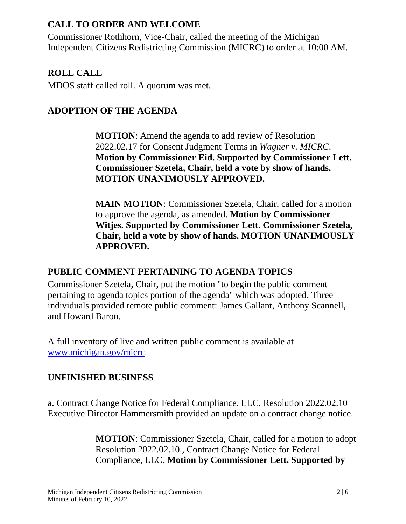### **CALL TO ORDER AND WELCOME**

Commissioner Rothhorn, Vice-Chair, called the meeting of the Michigan Independent Citizens Redistricting Commission (MICRC) to order at 10:00 AM.

### **ROLL CALL**

MDOS staff called roll. A quorum was met.

### **ADOPTION OF THE AGENDA**

**MOTION**: Amend the agenda to add review of Resolution 2022.02.17 for Consent Judgment Terms in *Wagner v. MICRC*. **Motion by Commissioner Eid. Supported by Commissioner Lett. Commissioner Szetela, Chair, held a vote by show of hands. MOTION UNANIMOUSLY APPROVED.**

**MAIN MOTION**: Commissioner Szetela, Chair, called for a motion to approve the agenda, as amended. **Motion by Commissioner Witjes. Supported by Commissioner Lett. Commissioner Szetela, Chair, held a vote by show of hands. MOTION UNANIMOUSLY APPROVED.**

# **PUBLIC COMMENT PERTAINING TO AGENDA TOPICS**

Commissioner Szetela, Chair, put the motion "to begin the public comment pertaining to agenda topics portion of the agenda" which was adopted. Three individuals provided remote public comment: James Gallant, Anthony Scannell, and Howard Baron.

A full inventory of live and written public comment is available at [www.michigan.gov/micrc.](http://www.michigan.gov/micrc)

# **UNFINISHED BUSINESS**

a. Contract Change Notice for Federal Compliance, LLC, Resolution 2022.02.10 Executive Director Hammersmith provided an update on a contract change notice.

> **MOTION**: Commissioner Szetela, Chair, called for a motion to adopt Resolution 2022.02.10., Contract Change Notice for Federal Compliance, LLC. **Motion by Commissioner Lett. Supported by**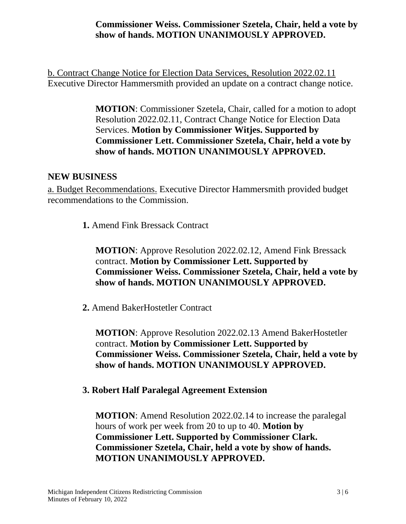### **Commissioner Weiss. Commissioner Szetela, Chair, held a vote by show of hands. MOTION UNANIMOUSLY APPROVED.**

b. Contract Change Notice for Election Data Services, Resolution 2022.02.11 Executive Director Hammersmith provided an update on a contract change notice.

> **MOTION**: Commissioner Szetela, Chair, called for a motion to adopt Resolution 2022.02.11, Contract Change Notice for Election Data Services. **Motion by Commissioner Witjes. Supported by Commissioner Lett. Commissioner Szetela, Chair, held a vote by show of hands. MOTION UNANIMOUSLY APPROVED.**

#### **NEW BUSINESS**

a. Budget Recommendations. Executive Director Hammersmith provided budget recommendations to the Commission.

 **1.** Amend Fink Bressack Contract

**MOTION**: Approve Resolution 2022.02.12, Amend Fink Bressack contract. **Motion by Commissioner Lett. Supported by Commissioner Weiss. Commissioner Szetela, Chair, held a vote by show of hands. MOTION UNANIMOUSLY APPROVED.**

 **2.** Amend BakerHostetler Contract

**MOTION**: Approve Resolution 2022.02.13 Amend BakerHostetler contract. **Motion by Commissioner Lett. Supported by Commissioner Weiss. Commissioner Szetela, Chair, held a vote by show of hands. MOTION UNANIMOUSLY APPROVED.**

#### **3. Robert Half Paralegal Agreement Extension**

**MOTION**: Amend Resolution 2022.02.14 to increase the paralegal hours of work per week from 20 to up to 40. **Motion by Commissioner Lett. Supported by Commissioner Clark. Commissioner Szetela, Chair, held a vote by show of hands. MOTION UNANIMOUSLY APPROVED.**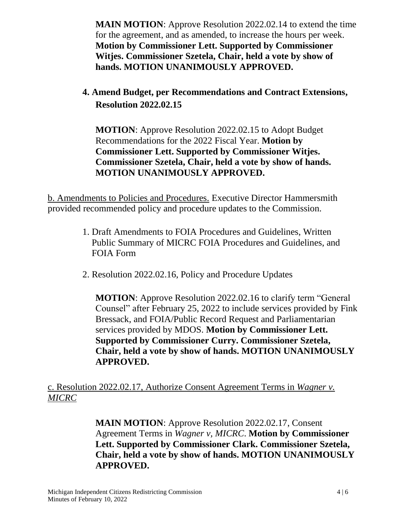**MAIN MOTION**: Approve Resolution 2022.02.14 to extend the time for the agreement, and as amended, to increase the hours per week. **Motion by Commissioner Lett. Supported by Commissioner Witjes. Commissioner Szetela, Chair, held a vote by show of hands. MOTION UNANIMOUSLY APPROVED.**

# **4. Amend Budget, per Recommendations and Contract Extensions, Resolution 2022.02.15**

**MOTION**: Approve Resolution 2022.02.15 to Adopt Budget Recommendations for the 2022 Fiscal Year. **Motion by Commissioner Lett. Supported by Commissioner Witjes. Commissioner Szetela, Chair, held a vote by show of hands. MOTION UNANIMOUSLY APPROVED.**

b. Amendments to Policies and Procedures. Executive Director Hammersmith provided recommended policy and procedure updates to the Commission.

- 1. Draft Amendments to FOIA Procedures and Guidelines, Written Public Summary of MICRC FOIA Procedures and Guidelines, and FOIA Form
- 2. Resolution 2022.02.16, Policy and Procedure Updates

**MOTION**: Approve Resolution 2022.02.16 to clarify term "General Counsel" after February 25, 2022 to include services provided by Fink Bressack, and FOIA/Public Record Request and Parliamentarian services provided by MDOS. **Motion by Commissioner Lett. Supported by Commissioner Curry. Commissioner Szetela, Chair, held a vote by show of hands. MOTION UNANIMOUSLY APPROVED.**

c. Resolution 2022.02.17, Authorize Consent Agreement Terms in *Wagner v. MICRC*

> **MAIN MOTION**: Approve Resolution 2022.02.17, Consent Agreement Terms in *Wagner v, MICRC*. **Motion by Commissioner Lett. Supported by Commissioner Clark. Commissioner Szetela, Chair, held a vote by show of hands. MOTION UNANIMOUSLY APPROVED.**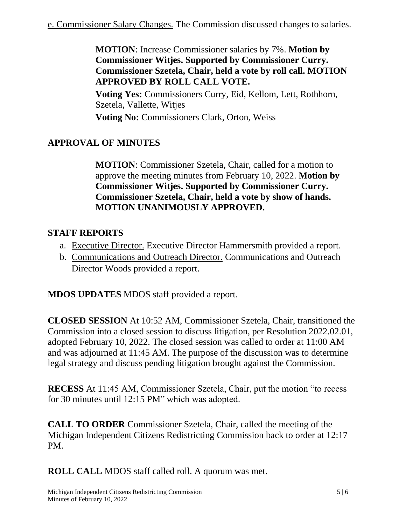**MOTION**: Increase Commissioner salaries by 7%. **Motion by Commissioner Witjes. Supported by Commissioner Curry. Commissioner Szetela, Chair, held a vote by roll call. MOTION APPROVED BY ROLL CALL VOTE.**

**Voting Yes:** Commissioners Curry, Eid, Kellom, Lett, Rothhorn, Szetela, Vallette, Witjes

**Voting No:** Commissioners Clark, Orton, Weiss

# **APPROVAL OF MINUTES**

**MOTION**: Commissioner Szetela, Chair, called for a motion to approve the meeting minutes from February 10, 2022. **Motion by Commissioner Witjes. Supported by Commissioner Curry. Commissioner Szetela, Chair, held a vote by show of hands. MOTION UNANIMOUSLY APPROVED.**

### **STAFF REPORTS**

- a. Executive Director. Executive Director Hammersmith provided a report.
- b. Communications and Outreach Director. Communications and Outreach Director Woods provided a report.

**MDOS UPDATES** MDOS staff provided a report.

**CLOSED SESSION** At 10:52 AM, Commissioner Szetela, Chair, transitioned the Commission into a closed session to discuss litigation, per Resolution 2022.02.01, adopted February 10, 2022. The closed session was called to order at 11:00 AM and was adjourned at 11:45 AM. The purpose of the discussion was to determine legal strategy and discuss pending litigation brought against the Commission.

**RECESS** At 11:45 AM, Commissioner Szetela, Chair, put the motion "to recess for 30 minutes until 12:15 PM" which was adopted.

**CALL TO ORDER** Commissioner Szetela, Chair, called the meeting of the Michigan Independent Citizens Redistricting Commission back to order at 12:17 PM.

**ROLL CALL** MDOS staff called roll. A quorum was met.